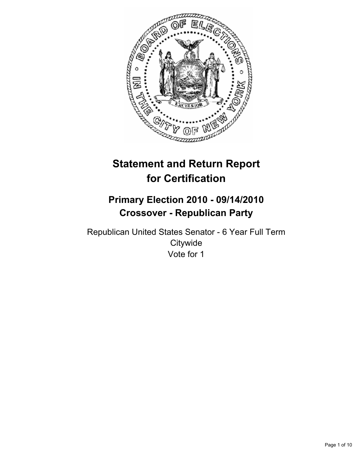

# **Statement and Return Report for Certification**

## **Primary Election 2010 - 09/14/2010 Crossover - Republican Party**

Republican United States Senator - 6 Year Full Term **Citywide** Vote for 1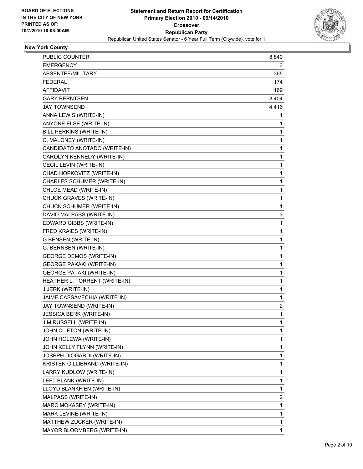

## **New York County**

| PUBLIC COUNTER                  | 8,840        |
|---------------------------------|--------------|
| <b>EMERGENCY</b>                | 3            |
| ABSENTEE/MILITARY               | 365          |
| <b>FEDERAL</b>                  | 174          |
| <b>AFFIDAVIT</b>                | 169          |
| <b>GARY BERNTSEN</b>            | 3,404        |
| <b>JAY TOWNSEND</b>             | 4,416        |
| ANNA LEWIS (WRITE-IN)           | 1            |
| ANYONE ELSE (WRITE-IN)          | 1            |
| BILL PERKINS (WRITE-IN)         | 1            |
| C, MALONEY (WRITE-IN)           | 1            |
| CANDIDATO ANOTADO (WRITE-IN)    | 1            |
| CAROLYN KENNEDY (WRITE-IN)      | 1            |
| CECIL LEVIN (WRITE-IN)          | 1            |
| CHAD HOPKOVITZ (WRITE-IN)       | 1            |
| CHARLES SCHUMER (WRITE-IN)      | 1            |
| CHLOE MEAD (WRITE-IN)           | 1            |
| CHUCK GRAVES (WRITE-IN)         | 1            |
| CHUCK SCHUMER (WRITE-IN)        | 1            |
| DAVID MALPASS (WRITE-IN)        | 3            |
| EDWARD GIBBS (WRITE-IN)         | 1            |
| FRED KRAIES (WRITE-IN)          | 1            |
| G BENSEN (WRITE-IN)             | 1            |
| G. BERNSEN (WRITE-IN)           | 1            |
| <b>GEORGE DEMOS (WRITE-IN)</b>  | 1            |
| <b>GEORGE PAKAKI (WRITE-IN)</b> | 1            |
| <b>GEORGE PATAKI (WRITE-IN)</b> | 1            |
| HEATHER L. TORRENT (WRITE-IN)   | 1            |
| J JERK (WRITE-IN)               | 1            |
| JAIME CASSAVECHIA (WRITE-IN)    | 1            |
| JAY TOWNSEND (WRITE-IN)         | 2            |
| <b>JESSICA BERK (WRITE-IN)</b>  | $\mathbf{1}$ |
| JIM RUSSELL (WRITE-IN)          | 1            |
| JOHN CLIFTON (WRITE-IN)         | 1            |
| JOHN HOLEWA (WRITE-IN)          | 1            |
| JOHN KELLY FLYNN (WRITE-IN)     | 1            |
| JOSEPH DIOGARDI (WRITE-IN)      | 1            |
| KRISTEN GILLIBRAND (WRITE-IN)   | 1            |
| LARRY KUDLOW (WRITE-IN)         | 1            |
| LEFT BLANK (WRITE-IN)           | 1            |
| LLOYD BLANKFIEN (WRITE-IN)      | 1            |
| MALPASS (WRITE-IN)              | 2            |
| MARC MOKASEY (WRITE-IN)         | 1            |
| MARK LEVINE (WRITE-IN)          | 1            |
| MATTHEW ZUCKER (WRITE-IN)       | 1            |
| MAYOR BLOOMBERG (WRITE-IN)      | 1            |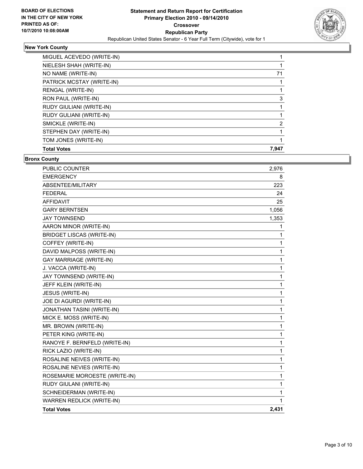

#### **New York County**

| MIGUEL ACEVEDO (WRITE-IN)       |       |
|---------------------------------|-------|
| NIELESH SHAH (WRITE-IN)         |       |
| NO NAME (WRITE-IN)              | 71    |
| PATRICK MCSTAY (WRITE-IN)       |       |
| RENGAL (WRITE-IN)               |       |
| RON PAUL (WRITE-IN)             | 3     |
| <b>RUDY GIULIANI (WRITE-IN)</b> |       |
| RUDY GULIANI (WRITE-IN)         |       |
| SMICKLE (WRITE-IN)              | 2     |
| STEPHEN DAY (WRITE-IN)          |       |
| TOM JONES (WRITE-IN)            |       |
| <b>Total Votes</b>              | 7.947 |

#### **Bronx County**

| <b>PUBLIC COUNTER</b>            | 2,976 |
|----------------------------------|-------|
| <b>EMERGENCY</b>                 | 8     |
| ABSENTEE/MILITARY                | 223   |
| <b>FEDERAL</b>                   | 24    |
| <b>AFFIDAVIT</b>                 | 25    |
| <b>GARY BERNTSEN</b>             | 1,056 |
| <b>JAY TOWNSEND</b>              | 1,353 |
| AARON MINOR (WRITE-IN)           | 1     |
| <b>BRIDGET LISCAS (WRITE-IN)</b> | 1     |
| COFFEY (WRITE-IN)                | 1     |
| DAVID MALPOSS (WRITE-IN)         | 1     |
| <b>GAY MARRIAGE (WRITE-IN)</b>   | 1     |
| J. VACCA (WRITE-IN)              | 1     |
| JAY TOWNSEND (WRITE-IN)          | 1     |
| JEFF KLEIN (WRITE-IN)            | 1     |
| JESUS (WRITE-IN)                 | 1     |
| JOE DI AGURDI (WRITE-IN)         | 1     |
| JONATHAN TASINI (WRITE-IN)       | 1     |
| MICK E. MOSS (WRITE-IN)          | 1     |
| MR. BROWN (WRITE-IN)             | 1     |
| PETER KING (WRITE-IN)            | 1     |
| RANOYE F. BERNFELD (WRITE-IN)    | 1     |
| RICK LAZIO (WRITE-IN)            | 1     |
| ROSALINE NEIVES (WRITE-IN)       | 1     |
| ROSALINE NEVIES (WRITE-IN)       | 1     |
| ROSEMARIE MOROESTE (WRITE-IN)    | 1     |
| RUDY GIULANI (WRITE-IN)          | 1     |
| SCHNEIDERMAN (WRITE-IN)          | 1     |
| WARREN REDLICK (WRITE-IN)        | 1     |
| <b>Total Votes</b>               | 2,431 |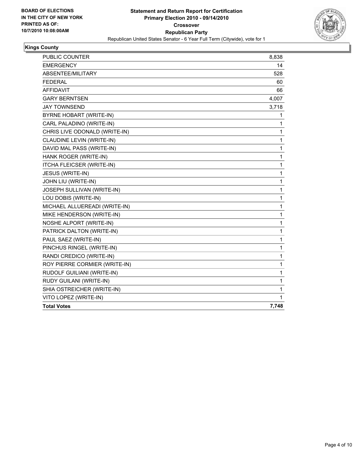

## **Kings County**

| PUBLIC COUNTER                | 8,838 |
|-------------------------------|-------|
| <b>EMERGENCY</b>              | 14    |
| ABSENTEE/MILITARY             | 528   |
| <b>FEDERAL</b>                | 60    |
| <b>AFFIDAVIT</b>              | 66    |
| <b>GARY BERNTSEN</b>          | 4,007 |
| <b>JAY TOWNSEND</b>           | 3,718 |
| BYRNE HOBART (WRITE-IN)       | 1     |
| CARL PALADINO (WRITE-IN)      | 1     |
| CHRIS LIVE ODONALD (WRITE-IN) | 1     |
| CLAUDINE LEVIN (WRITE-IN)     | 1     |
| DAVID MAL PASS (WRITE-IN)     | 1     |
| HANK ROGER (WRITE-IN)         | 1     |
| ITCHA FLEICSER (WRITE-IN)     | 1     |
| JESUS (WRITE-IN)              | 1     |
| JOHN LIU (WRITE-IN)           | 1     |
| JOSEPH SULLIVAN (WRITE-IN)    | 1     |
| LOU DOBIS (WRITE-IN)          | 1     |
| MICHAEL ALLUEREADI (WRITE-IN) | 1     |
| MIKE HENDERSON (WRITE-IN)     | 1     |
| NOSHE ALPORT (WRITE-IN)       | 1     |
| PATRICK DALTON (WRITE-IN)     | 1     |
| PAUL SAEZ (WRITE-IN)          | 1     |
| PINCHUS RINGEL (WRITE-IN)     | 1     |
| RANDI CREDICO (WRITE-IN)      | 1     |
| ROY PIERRE CORMIER (WRITE-IN) | 1     |
| RUDOLF GUILIANI (WRITE-IN)    | 1     |
| RUDY GUILANI (WRITE-IN)       | 1     |
| SHIA OSTREICHER (WRITE-IN)    | 1     |
| VITO LOPEZ (WRITE-IN)         | 1     |
| <b>Total Votes</b>            | 7,748 |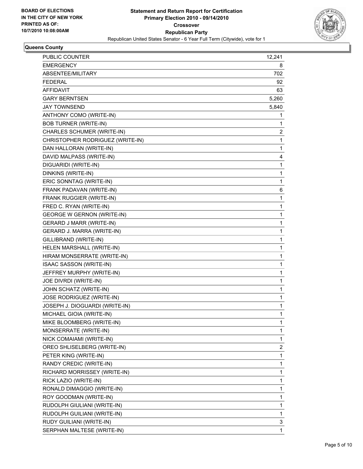

#### **Queens County**

| PUBLIC COUNTER                    | 12,241 |
|-----------------------------------|--------|
| <b>EMERGENCY</b>                  | 8      |
| ABSENTEE/MILITARY                 | 702    |
| <b>FEDERAL</b>                    | 92     |
| AFFIDAVIT                         | 63     |
| <b>GARY BERNTSEN</b>              | 5,260  |
| <b>JAY TOWNSEND</b>               | 5,840  |
| ANTHONY COMO (WRITE-IN)           | 1      |
| <b>BOB TURNER (WRITE-IN)</b>      | 1      |
| CHARLES SCHUMER (WRITE-IN)        | 2      |
| CHRISTOPHER RODRIGUEZ (WRITE-IN)  | 1      |
| DAN HALLORAN (WRITE-IN)           | 1      |
| DAVID MALPASS (WRITE-IN)          | 4      |
| DIGUARIDI (WRITE-IN)              | 1      |
| DINKINS (WRITE-IN)                | 1      |
| ERIC SONNTAG (WRITE-IN)           | 1      |
| FRANK PADAVAN (WRITE-IN)          | 6      |
| FRANK RUGGIER (WRITE-IN)          | 1      |
| FRED C. RYAN (WRITE-IN)           | 1      |
| <b>GEORGE W GERNON (WRITE-IN)</b> | 1      |
| <b>GERARD J MARR (WRITE-IN)</b>   | 1      |
| GERARD J. MARRA (WRITE-IN)        | 1      |
| GILLIBRAND (WRITE-IN)             | 1      |
| HELEN MARSHALL (WRITE-IN)         | 1      |
| HIRAM MONSERRATE (WRITE-IN)       | 1      |
| ISAAC SASSON (WRITE-IN)           | 1      |
| JEFFREY MURPHY (WRITE-IN)         | 1      |
| JOE DIVRDI (WRITE-IN)             | 1      |
| JOHN SCHATZ (WRITE-IN)            | 1      |
| JOSE RODRIGUEZ (WRITE-IN)         | 1      |
| JOSEPH J. DIOGUARDI (WRITE-IN)    | 1      |
| MICHAEL GIOIA (WRITE-IN)          | 1      |
| MIKE BLOOMBERG (WRITE-IN)         | 1      |
| MONSERRATE (WRITE-IN)             | 1      |
| NICK COMAIAMI (WRITE-IN)          | 1      |
| OREO SHLISELBERG (WRITE-IN)       | 2      |
| PETER KING (WRITE-IN)             | 1      |
| RANDY CREDIC (WRITE-IN)           | 1      |
| RICHARD MORRISSEY (WRITE-IN)      | 1      |
| RICK LAZIO (WRITE-IN)             | 1      |
| RONALD DIMAGGIO (WRITE-IN)        | 1      |
| ROY GOODMAN (WRITE-IN)            | 1      |
| RUDOLPH GIULIANI (WRITE-IN)       | 1      |
| RUDOLPH GUILIANI (WRITE-IN)       | 1      |
| RUDY GUILIANI (WRITE-IN)          | 3      |
| SERPHAN MALTESE (WRITE-IN)        | 1      |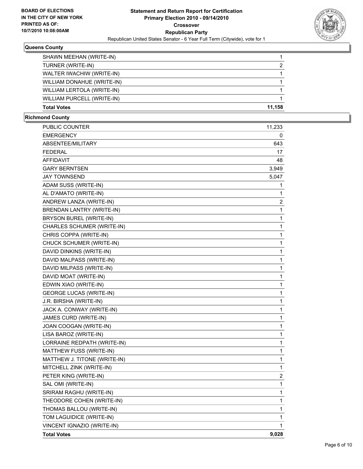

#### **Queens County**

| <b>Total Votes</b>         | 11.158 |
|----------------------------|--------|
| WILLIAM PURCELL (WRITE-IN) |        |
| WILLIAM LERTOLA (WRITE-IN) |        |
| WILLIAM DONAHUE (WRITE-IN) |        |
| WALTER IWACHIW (WRITE-IN)  |        |
| TURNER (WRITE-IN)          | 2      |
| SHAWN MEEHAN (WRITE-IN)    |        |

#### **Richmond County**

| PUBLIC COUNTER                   | 11,233      |
|----------------------------------|-------------|
| <b>EMERGENCY</b>                 | 0           |
| ABSENTEE/MILITARY                | 643         |
| <b>FEDERAL</b>                   | 17          |
| <b>AFFIDAVIT</b>                 | 48          |
| <b>GARY BERNTSEN</b>             | 3,949       |
| <b>JAY TOWNSEND</b>              | 5,047       |
| ADAM SUSS (WRITE-IN)             | 1           |
| AL D'AMATO (WRITE-IN)            | 1           |
| ANDREW LANZA (WRITE-IN)          | 2           |
| <b>BRENDAN LANTRY (WRITE-IN)</b> | 1           |
| BRYSON BUREL (WRITE-IN)          | 1           |
| CHARLES SCHUMER (WRITE-IN)       | 1           |
| CHRIS COPPA (WRITE-IN)           | 1           |
| CHUCK SCHUMER (WRITE-IN)         | 1           |
| DAVID DINKINS (WRITE-IN)         | 1           |
| DAVID MALPASS (WRITE-IN)         | 1           |
| DAVID MILPASS (WRITE-IN)         | 1           |
| DAVID MOAT (WRITE-IN)            | 1           |
| EDWIN XIAO (WRITE-IN)            | 1           |
| <b>GEORGE LUCAS (WRITE-IN)</b>   | 1           |
| J.R. BIRSHA (WRITE-IN)           | 1           |
| JACK A. CONWAY (WRITE-IN)        | 1           |
| JAMES CURD (WRITE-IN)            | 1           |
| JOAN COOGAN (WRITE-IN)           | 1           |
| LISA BAROZ (WRITE-IN)            | 1           |
| LORRAINE REDPATH (WRITE-IN)      | 1           |
| MATTHEW FUSS (WRITE-IN)          | 1           |
| MATTHEW J. TITONE (WRITE-IN)     | 1           |
| MITCHELL ZINK (WRITE-IN)         | 1           |
| PETER KING (WRITE-IN)            | 2           |
| SAL OMI (WRITE-IN)               | 1           |
| SRIRAM RAGHU (WRITE-IN)          | 1           |
| THEODORE COHEN (WRITE-IN)        | 1           |
| THOMAS BALLOU (WRITE-IN)         | 1           |
| TOM LAGUIDICE (WRITE-IN)         | $\mathbf 1$ |
| VINCENT IGNAZIO (WRITE-IN)       | 1           |
| <b>Total Votes</b>               | 9,028       |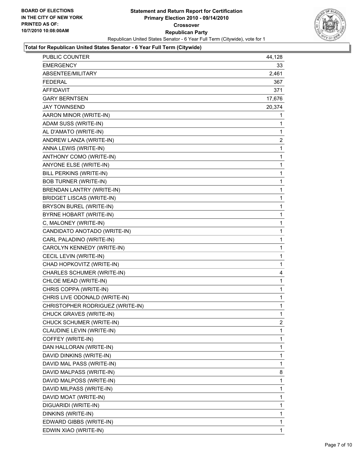

| PUBLIC COUNTER                   | 44,128 |
|----------------------------------|--------|
| <b>EMERGENCY</b>                 | 33     |
| ABSENTEE/MILITARY                | 2,461  |
| <b>FEDERAL</b>                   | 367    |
| <b>AFFIDAVIT</b>                 | 371    |
| <b>GARY BERNTSEN</b>             | 17,676 |
| JAY TOWNSEND                     | 20,374 |
| AARON MINOR (WRITE-IN)           | 1      |
| ADAM SUSS (WRITE-IN)             | 1      |
| AL D'AMATO (WRITE-IN)            | 1      |
| ANDREW LANZA (WRITE-IN)          | 2      |
| ANNA LEWIS (WRITE-IN)            | 1      |
| ANTHONY COMO (WRITE-IN)          | 1      |
| ANYONE ELSE (WRITE-IN)           | 1      |
| BILL PERKINS (WRITE-IN)          | 1      |
| <b>BOB TURNER (WRITE-IN)</b>     | 1      |
| BRENDAN LANTRY (WRITE-IN)        | 1      |
| <b>BRIDGET LISCAS (WRITE-IN)</b> | 1      |
| BRYSON BUREL (WRITE-IN)          | 1      |
| BYRNE HOBART (WRITE-IN)          | 1      |
| C, MALONEY (WRITE-IN)            | 1      |
| CANDIDATO ANOTADO (WRITE-IN)     | 1      |
| CARL PALADINO (WRITE-IN)         | 1      |
| CAROLYN KENNEDY (WRITE-IN)       | 1      |
| CECIL LEVIN (WRITE-IN)           | 1      |
| CHAD HOPKOVITZ (WRITE-IN)        | 1      |
| CHARLES SCHUMER (WRITE-IN)       | 4      |
| CHLOE MEAD (WRITE-IN)            | 1      |
| CHRIS COPPA (WRITE-IN)           | 1      |
| CHRIS LIVE ODONALD (WRITE-IN)    | 1      |
| CHRISTOPHER RODRIGUEZ (WRITE-IN) | 1      |
| CHUCK GRAVES (WRITE-IN)          | 1      |
| CHUCK SCHUMER (WRITE-IN)         | 2      |
| CLAUDINE LEVIN (WRITE-IN)        | 1      |
| COFFEY (WRITE-IN)                | 1      |
| DAN HALLORAN (WRITE-IN)          | 1      |
| DAVID DINKINS (WRITE-IN)         | 1      |
| DAVID MAL PASS (WRITE-IN)        | 1      |
| DAVID MALPASS (WRITE-IN)         | 8      |
| DAVID MALPOSS (WRITE-IN)         | 1      |
| DAVID MILPASS (WRITE-IN)         | 1      |
| DAVID MOAT (WRITE-IN)            | 1      |
| DIGUARIDI (WRITE-IN)             | 1      |
| DINKINS (WRITE-IN)               | 1      |
| EDWARD GIBBS (WRITE-IN)          | 1      |
| EDWIN XIAO (WRITE-IN)            | 1      |
|                                  |        |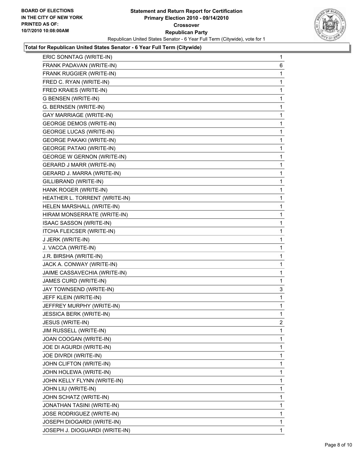

| ERIC SONNTAG (WRITE-IN)           | 1 |
|-----------------------------------|---|
| FRANK PADAVAN (WRITE-IN)          | 6 |
| FRANK RUGGIER (WRITE-IN)          | 1 |
| FRED C. RYAN (WRITE-IN)           | 1 |
| FRED KRAIES (WRITE-IN)            | 1 |
| G BENSEN (WRITE-IN)               | 1 |
| G. BERNSEN (WRITE-IN)             | 1 |
| <b>GAY MARRIAGE (WRITE-IN)</b>    | 1 |
| <b>GEORGE DEMOS (WRITE-IN)</b>    | 1 |
| <b>GEORGE LUCAS (WRITE-IN)</b>    | 1 |
| <b>GEORGE PAKAKI (WRITE-IN)</b>   | 1 |
| <b>GEORGE PATAKI (WRITE-IN)</b>   | 1 |
| <b>GEORGE W GERNON (WRITE-IN)</b> | 1 |
| <b>GERARD J MARR (WRITE-IN)</b>   | 1 |
| GERARD J. MARRA (WRITE-IN)        | 1 |
| GILLIBRAND (WRITE-IN)             | 1 |
| HANK ROGER (WRITE-IN)             | 1 |
| HEATHER L. TORRENT (WRITE-IN)     | 1 |
| HELEN MARSHALL (WRITE-IN)         | 1 |
| HIRAM MONSERRATE (WRITE-IN)       | 1 |
| ISAAC SASSON (WRITE-IN)           | 1 |
| ITCHA FLEICSER (WRITE-IN)         | 1 |
| J JERK (WRITE-IN)                 | 1 |
| J. VACCA (WRITE-IN)               | 1 |
| J.R. BIRSHA (WRITE-IN)            | 1 |
| JACK A. CONWAY (WRITE-IN)         | 1 |
| JAIME CASSAVECHIA (WRITE-IN)      | 1 |
| JAMES CURD (WRITE-IN)             | 1 |
| JAY TOWNSEND (WRITE-IN)           | 3 |
| JEFF KLEIN (WRITE-IN)             | 1 |
| JEFFREY MURPHY (WRITE-IN)         | 1 |
| JESSICA BERK (WRITE-IN)           | 1 |
| JESUS (WRITE-IN)                  | 2 |
| JIM RUSSELL (WRITE-IN)            | 1 |
| JOAN COOGAN (WRITE-IN)            | 1 |
| JOE DI AGURDI (WRITE-IN)          | 1 |
| <b>JOE DIVRDI (WRITE-IN)</b>      | 1 |
| JOHN CLIFTON (WRITE-IN)           | 1 |
| JOHN HOLEWA (WRITE-IN)            | 1 |
| JOHN KELLY FLYNN (WRITE-IN)       | 1 |
| JOHN LIU (WRITE-IN)               | 1 |
| JOHN SCHATZ (WRITE-IN)            | 1 |
| JONATHAN TASINI (WRITE-IN)        | 1 |
| JOSE RODRIGUEZ (WRITE-IN)         | 1 |
| JOSEPH DIOGARDI (WRITE-IN)        | 1 |
| JOSEPH J. DIOGUARDI (WRITE-IN)    | 1 |
|                                   |   |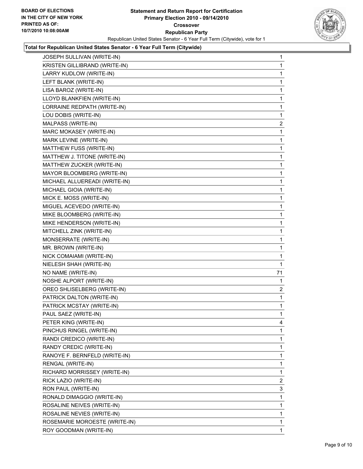

| JOSEPH SULLIVAN (WRITE-IN)    | 1              |
|-------------------------------|----------------|
| KRISTEN GILLIBRAND (WRITE-IN) | 1              |
| LARRY KUDLOW (WRITE-IN)       | 1              |
| LEFT BLANK (WRITE-IN)         | 1              |
| LISA BAROZ (WRITE-IN)         | 1              |
| LLOYD BLANKFIEN (WRITE-IN)    | 1              |
| LORRAINE REDPATH (WRITE-IN)   | 1              |
| LOU DOBIS (WRITE-IN)          | 1              |
| MALPASS (WRITE-IN)            | 2              |
| MARC MOKASEY (WRITE-IN)       | 1              |
| MARK LEVINE (WRITE-IN)        | 1              |
| MATTHEW FUSS (WRITE-IN)       | 1              |
| MATTHEW J. TITONE (WRITE-IN)  | 1              |
| MATTHEW ZUCKER (WRITE-IN)     | 1              |
| MAYOR BLOOMBERG (WRITE-IN)    | 1              |
| MICHAEL ALLUEREADI (WRITE-IN) | 1              |
| MICHAEL GIOIA (WRITE-IN)      | 1              |
| MICK E. MOSS (WRITE-IN)       | 1              |
| MIGUEL ACEVEDO (WRITE-IN)     | 1              |
| MIKE BLOOMBERG (WRITE-IN)     | 1              |
| MIKE HENDERSON (WRITE-IN)     | 1              |
| MITCHELL ZINK (WRITE-IN)      | 1              |
| MONSERRATE (WRITE-IN)         | 1              |
| MR. BROWN (WRITE-IN)          | 1              |
| NICK COMAIAMI (WRITE-IN)      | 1              |
| NIELESH SHAH (WRITE-IN)       | 1              |
| NO NAME (WRITE-IN)            | 71             |
| NOSHE ALPORT (WRITE-IN)       | 1              |
| OREO SHLISELBERG (WRITE-IN)   | 2              |
| PATRICK DALTON (WRITE-IN)     | 1              |
| PATRICK MCSTAY (WRITE-IN)     | 1              |
| PAUL SAEZ (WRITE-IN)          | 1              |
| PETER KING (WRITE-IN)         | 4              |
| PINCHUS RINGEL (WRITE-IN)     | 1              |
| RANDI CREDICO (WRITE-IN)      | 1              |
| RANDY CREDIC (WRITE-IN)       | 1              |
| RANOYE F. BERNFELD (WRITE-IN) | 1              |
| RENGAL (WRITE-IN)             | 1              |
| RICHARD MORRISSEY (WRITE-IN)  | 1              |
| RICK LAZIO (WRITE-IN)         | $\overline{2}$ |
| RON PAUL (WRITE-IN)           | 3              |
| RONALD DIMAGGIO (WRITE-IN)    | 1              |
| ROSALINE NEIVES (WRITE-IN)    | 1              |
| ROSALINE NEVIES (WRITE-IN)    | 1              |
| ROSEMARIE MOROESTE (WRITE-IN) | 1              |
| ROY GOODMAN (WRITE-IN)        | 1.             |